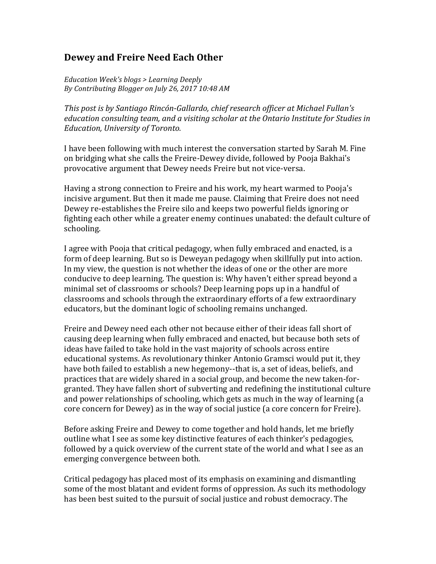## **Dewey and Freire Need Each Other**

*Education Week's blogs > Learning Deeply* By Contributing Blogger on July 26, 2017 10:48 AM

*This post is by Santiago Rincón-Gallardo, chief research officer at Michael Fullan's education consulting team, and a visiting scholar at the Ontario Institute for Studies in Education, University of Toronto.* 

I have been following with much interest the conversation started by Sarah M. Fine on bridging what she calls the Freire-Dewey divide, followed by Pooja Bakhai's provocative argument that Dewey needs Freire but not vice-versa.

Having a strong connection to Freire and his work, my heart warmed to Pooja's incisive argument. But then it made me pause. Claiming that Freire does not need Dewey re-establishes the Freire silo and keeps two powerful fields ignoring or fighting each other while a greater enemy continues unabated: the default culture of schooling.

I agree with Pooja that critical pedagogy, when fully embraced and enacted, is a form of deep learning. But so is Deweyan pedagogy when skillfully put into action. In my view, the question is not whether the ideas of one or the other are more conducive to deep learning. The question is: Why haven't either spread beyond a minimal set of classrooms or schools? Deep learning pops up in a handful of classrooms and schools through the extraordinary efforts of a few extraordinary educators, but the dominant logic of schooling remains unchanged.

Freire and Dewey need each other not because either of their ideas fall short of causing deep learning when fully embraced and enacted, but because both sets of ideas have failed to take hold in the vast majority of schools across entire educational systems. As revolutionary thinker Antonio Gramsci would put it, they have both failed to establish a new hegemony--that is, a set of ideas, beliefs, and practices that are widely shared in a social group, and become the new taken-forgranted. They have fallen short of subverting and redefining the institutional culture and power relationships of schooling, which gets as much in the way of learning (a core concern for Dewey) as in the way of social justice (a core concern for Freire).

Before asking Freire and Dewey to come together and hold hands, let me briefly outline what I see as some key distinctive features of each thinker's pedagogies, followed by a quick overview of the current state of the world and what I see as an emerging convergence between both.

Critical pedagogy has placed most of its emphasis on examining and dismantling some of the most blatant and evident forms of oppression. As such its methodology has been best suited to the pursuit of social justice and robust democracy. The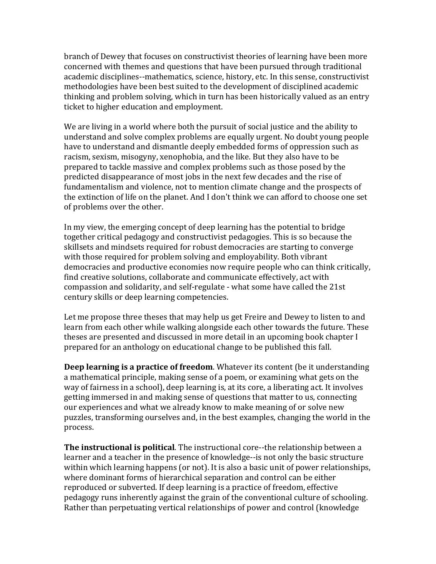branch of Dewey that focuses on constructivist theories of learning have been more concerned with themes and questions that have been pursued through traditional academic disciplines--mathematics, science, history, etc. In this sense, constructivist methodologies have been best suited to the development of disciplined academic thinking and problem solving, which in turn has been historically valued as an entry ticket to higher education and employment.

We are living in a world where both the pursuit of social justice and the ability to understand and solve complex problems are equally urgent. No doubt young people have to understand and dismantle deeply embedded forms of oppression such as racism, sexism, misogyny, xenophobia, and the like. But they also have to be prepared to tackle massive and complex problems such as those posed by the predicted disappearance of most jobs in the next few decades and the rise of fundamentalism and violence, not to mention climate change and the prospects of the extinction of life on the planet. And I don't think we can afford to choose one set of problems over the other.

In my view, the emerging concept of deep learning has the potential to bridge together critical pedagogy and constructivist pedagogies. This is so because the skillsets and mindsets required for robust democracies are starting to converge with those required for problem solving and employability. Both vibrant democracies and productive economies now require people who can think critically, find creative solutions, collaborate and communicate effectively, act with compassion and solidarity, and self-regulate - what some have called the 21st century skills or deep learning competencies.

Let me propose three theses that may help us get Freire and Dewey to listen to and learn from each other while walking alongside each other towards the future. These theses are presented and discussed in more detail in an upcoming book chapter I prepared for an anthology on educational change to be published this fall.

**Deep learning is a practice of freedom**. Whatever its content (be it understanding a mathematical principle, making sense of a poem, or examining what gets on the way of fairness in a school), deep learning is, at its core, a liberating act. It involves getting immersed in and making sense of questions that matter to us, connecting our experiences and what we already know to make meaning of or solve new puzzles, transforming ourselves and, in the best examples, changing the world in the process.

**The instructional is political**. The instructional core--the relationship between a learner and a teacher in the presence of knowledge--is not only the basic structure within which learning happens (or not). It is also a basic unit of power relationships, where dominant forms of hierarchical separation and control can be either reproduced or subverted. If deep learning is a practice of freedom, effective pedagogy runs inherently against the grain of the conventional culture of schooling. Rather than perpetuating vertical relationships of power and control (knowledge